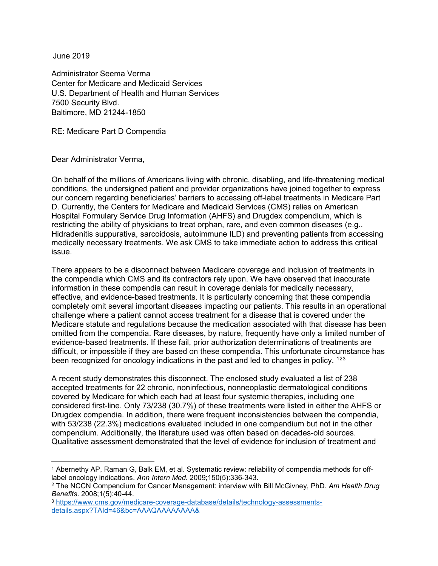June 2019

Administrator Seema Verma Center for Medicare and Medicaid Services U.S. Department of Health and Human Services 7500 Security Blvd. Baltimore, MD 21244-1850

RE: Medicare Part D Compendia

Dear Administrator Verma,

On behalf of the millions of Americans living with chronic, disabling, and life-threatening medical conditions, the undersigned patient and provider organizations have joined together to express our concern regarding beneficiaries' barriers to accessing off-label treatments in Medicare Part D. Currently, the Centers for Medicare and Medicaid Services (CMS) relies on American Hospital Formulary Service Drug Information (AHFS) and Drugdex compendium, which is restricting the ability of physicians to treat orphan, rare, and even common diseases (e.g., Hidradenitis suppurativa, sarcoidosis, autoimmune ILD) and preventing patients from accessing medically necessary treatments. We ask CMS to take immediate action to address this critical issue.

There appears to be a disconnect between Medicare coverage and inclusion of treatments in the compendia which CMS and its contractors rely upon. We have observed that inaccurate information in these compendia can result in coverage denials for medically necessary, effective, and evidence-based treatments. It is particularly concerning that these compendia completely omit several important diseases impacting our patients. This results in an operational challenge where a patient cannot access treatment for a disease that is covered under the Medicare statute and regulations because the medication associated with that disease has been omitted from the compendia. Rare diseases, by nature, frequently have only a limited number of evidence-based treatments. If these fail, prior authorization determinations of treatments are difficult, or impossible if they are based on these compendia. This unfortunate circumstance has been recognized for oncology indications in the past and led to changes in policy. <sup>[1](#page-0-0)[2](#page-0-1)[3](#page-0-2)</sup>

A recent study demonstrates this disconnect. The enclosed study evaluated a list of 238 accepted treatments for 22 chronic, noninfectious, nonneoplastic dermatological conditions covered by Medicare for which each had at least four systemic therapies, including one considered first-line. Only 73/238 (30.7%) of these treatments were listed in either the AHFS or Drugdex compendia. In addition, there were frequent inconsistencies between the compendia, with 53/238 (22.3%) medications evaluated included in one compendium but not in the other compendium. Additionally, the literature used was often based on decades-old sources. Qualitative assessment demonstrated that the level of evidence for inclusion of treatment and

<span id="page-0-0"></span> <sup>1</sup> Abernethy AP, Raman G, Balk EM, et al. Systematic review: reliability of compendia methods for offlabel oncology indications. *Ann Intern Med*. 2009;150(5):336-343.

<span id="page-0-1"></span><sup>2</sup> The NCCN Compendium for Cancer Management: interview with Bill McGivney, PhD. *Am Health Drug Benefits*. 2008;1(5):40-44.

<span id="page-0-2"></span><sup>3</sup> [https://www.cms.gov/medicare-coverage-database/details/technology-assessments](https://protect-us.mimecast.com/s/N_mECmZGKEcEooNCGWBYS?domain=cms.gov)[details.aspx?TAId=46&bc=AAAQAAAAAAAA&](https://protect-us.mimecast.com/s/N_mECmZGKEcEooNCGWBYS?domain=cms.gov)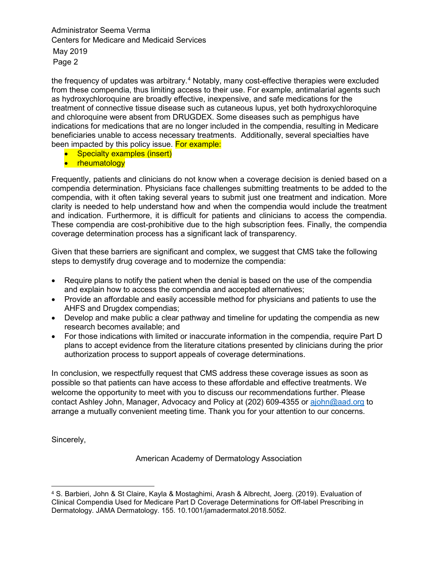Administrator Seema Verma Centers for Medicare and Medicaid Services May 2019 Page 2

the frequency of updates was arbitrary.<sup>[4](#page-1-0)</sup> Notably, many cost-effective therapies were excluded from these compendia, thus limiting access to their use. For example, antimalarial agents such as hydroxychloroquine are broadly effective, inexpensive, and safe medications for the treatment of connective tissue disease such as cutaneous lupus, yet both hydroxychloroquine and chloroquine were absent from DRUGDEX. Some diseases such as pemphigus have indications for medications that are no longer included in the compendia, resulting in Medicare beneficiaries unable to access necessary treatments. Additionally, several specialties have been impacted by this policy issue. For example:

- Specialty examples (insert)
- rheumatology

Frequently, patients and clinicians do not know when a coverage decision is denied based on a compendia determination. Physicians face challenges submitting treatments to be added to the compendia, with it often taking several years to submit just one treatment and indication. More clarity is needed to help understand how and when the compendia would include the treatment and indication. Furthermore, it is difficult for patients and clinicians to access the compendia. These compendia are cost-prohibitive due to the high subscription fees. Finally, the compendia coverage determination process has a significant lack of transparency.

Given that these barriers are significant and complex, we suggest that CMS take the following steps to demystify drug coverage and to modernize the compendia:

- Require plans to notify the patient when the denial is based on the use of the compendia and explain how to access the compendia and accepted alternatives;
- Provide an affordable and easily accessible method for physicians and patients to use the AHFS and Drugdex compendias;
- Develop and make public a clear pathway and timeline for updating the compendia as new research becomes available; and
- For those indications with limited or inaccurate information in the compendia, require Part D plans to accept evidence from the literature citations presented by clinicians during the prior authorization process to support appeals of coverage determinations.

In conclusion, we respectfully request that CMS address these coverage issues as soon as possible so that patients can have access to these affordable and effective treatments. We welcome the opportunity to meet with you to discuss our recommendations further. Please contact Ashley John, Manager, Advocacy and Policy at (202) 609-4355 or [ajohn@aad.org](mailto:ajohn@aad.org) to arrange a mutually convenient meeting time. Thank you for your attention to our concerns.

Sincerely,

American Academy of Dermatology Association

<span id="page-1-0"></span> <sup>4</sup> S. Barbieri, John & St Claire, Kayla & Mostaghimi, Arash & Albrecht, Joerg. (2019). Evaluation of Clinical Compendia Used for Medicare Part D Coverage Determinations for Off-label Prescribing in Dermatology. JAMA Dermatology. 155. 10.1001/jamadermatol.2018.5052.